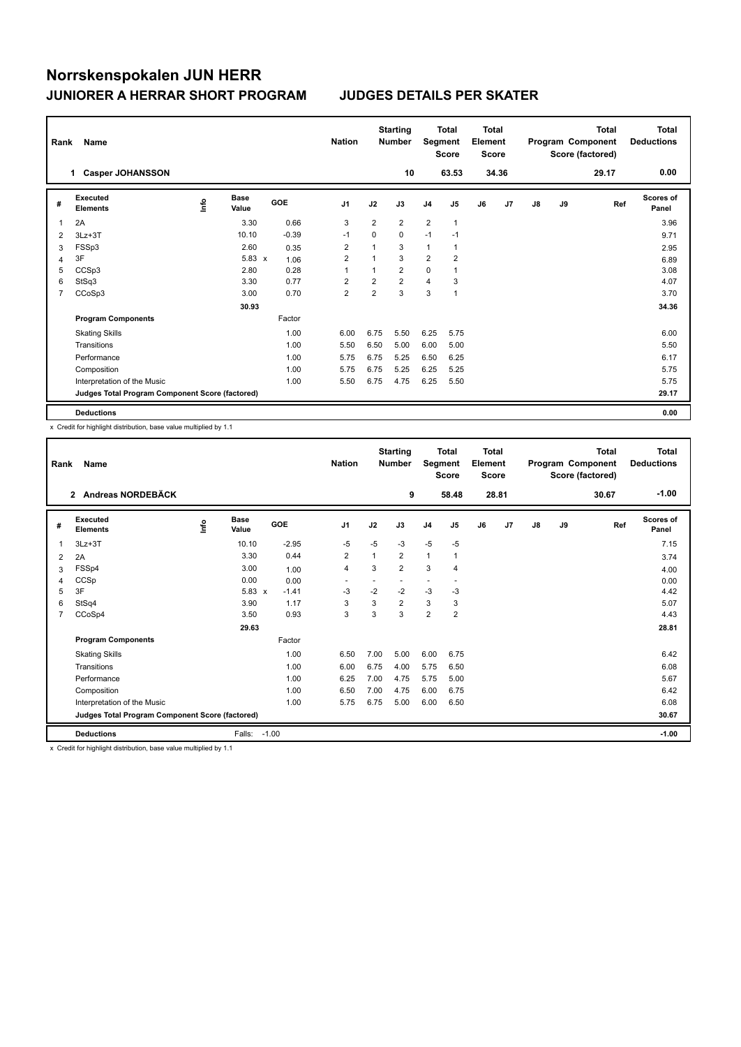| Rank | Name                                            |      |                      |            |      | <b>Nation</b>           |                         | <b>Starting</b><br><b>Number</b> |                | <b>Total</b><br>Segment<br><b>Score</b> | <b>Total</b><br>Element<br><b>Score</b> |       |    |    | <b>Total</b><br>Program Component<br>Score (factored) | <b>Total</b><br><b>Deductions</b> |
|------|-------------------------------------------------|------|----------------------|------------|------|-------------------------|-------------------------|----------------------------------|----------------|-----------------------------------------|-----------------------------------------|-------|----|----|-------------------------------------------------------|-----------------------------------|
|      | <b>Casper JOHANSSON</b><br>1.                   |      |                      |            |      |                         |                         | 10                               |                | 63.53                                   |                                         | 34.36 |    |    | 29.17                                                 | 0.00                              |
| #    | <b>Executed</b><br><b>Elements</b>              | ١nfo | <b>Base</b><br>Value | <b>GOE</b> |      | J <sub>1</sub>          | J2                      | J3                               | J <sub>4</sub> | J5                                      | J6                                      | J7    | J8 | J9 | Ref                                                   | <b>Scores of</b><br>Panel         |
| 1    | 2A                                              |      | 3.30                 |            | 0.66 | 3                       | $\overline{2}$          | $\overline{2}$                   | $\overline{2}$ | $\mathbf{1}$                            |                                         |       |    |    |                                                       | 3.96                              |
| 2    | $3Lz + 3T$                                      |      | 10.10                | $-0.39$    |      | $-1$                    | $\Omega$                | $\Omega$                         | $-1$           | $-1$                                    |                                         |       |    |    |                                                       | 9.71                              |
| 3    | FSSp3                                           |      | 2.60                 |            | 0.35 | $\overline{\mathbf{c}}$ |                         | 3                                | 1              |                                         |                                         |       |    |    |                                                       | 2.95                              |
| 4    | 3F                                              |      | $5.83 \times$        |            | 1.06 | $\overline{2}$          | 1                       | 3                                | $\overline{2}$ | $\overline{2}$                          |                                         |       |    |    |                                                       | 6.89                              |
| 5    | CCSp3                                           |      | 2.80                 |            | 0.28 | 1                       | 1                       | $\overline{2}$                   | $\mathbf 0$    |                                         |                                         |       |    |    |                                                       | 3.08                              |
| 6    | StSq3                                           |      | 3.30                 |            | 0.77 | 2                       | $\overline{\mathbf{c}}$ | $\overline{2}$                   | 4              | 3                                       |                                         |       |    |    |                                                       | 4.07                              |
| 7    | CCoSp3                                          |      | 3.00                 |            | 0.70 | $\overline{\mathbf{c}}$ | $\overline{2}$          | 3                                | 3              | $\overline{1}$                          |                                         |       |    |    |                                                       | 3.70                              |
|      |                                                 |      | 30.93                |            |      |                         |                         |                                  |                |                                         |                                         |       |    |    |                                                       | 34.36                             |
|      | <b>Program Components</b>                       |      |                      | Factor     |      |                         |                         |                                  |                |                                         |                                         |       |    |    |                                                       |                                   |
|      | <b>Skating Skills</b>                           |      |                      |            | 1.00 | 6.00                    | 6.75                    | 5.50                             | 6.25           | 5.75                                    |                                         |       |    |    |                                                       | 6.00                              |
|      | Transitions                                     |      |                      |            | 1.00 | 5.50                    | 6.50                    | 5.00                             | 6.00           | 5.00                                    |                                         |       |    |    |                                                       | 5.50                              |
|      | Performance                                     |      |                      |            | 1.00 | 5.75                    | 6.75                    | 5.25                             | 6.50           | 6.25                                    |                                         |       |    |    |                                                       | 6.17                              |
|      | Composition                                     |      |                      |            | 1.00 | 5.75                    | 6.75                    | 5.25                             | 6.25           | 5.25                                    |                                         |       |    |    |                                                       | 5.75                              |
|      | Interpretation of the Music                     |      |                      |            | 1.00 | 5.50                    | 6.75                    | 4.75                             | 6.25           | 5.50                                    |                                         |       |    |    |                                                       | 5.75                              |
|      | Judges Total Program Component Score (factored) |      |                      |            |      |                         |                         |                                  |                |                                         |                                         |       |    |    |                                                       | 29.17                             |
|      | <b>Deductions</b>                               |      |                      |            |      |                         |                         |                                  |                |                                         |                                         |       |    |    |                                                       | 0.00                              |

x Credit for highlight distribution, base value multiplied by 1.1

| Rank           | <b>Name</b>                                     |      |                      |         | <b>Nation</b>            |      | <b>Starting</b><br><b>Number</b> | Segment        | Total<br><b>Score</b>    | Total<br>Element<br><b>Score</b> |       |    |    | <b>Total</b><br>Program Component<br>Score (factored) | <b>Total</b><br><b>Deductions</b> |
|----------------|-------------------------------------------------|------|----------------------|---------|--------------------------|------|----------------------------------|----------------|--------------------------|----------------------------------|-------|----|----|-------------------------------------------------------|-----------------------------------|
|                | Andreas NORDEBÄCK<br>$\mathbf{2}$               |      |                      |         |                          |      | 9                                |                | 58.48                    |                                  | 28.81 |    |    | 30.67                                                 | $-1.00$                           |
| #              | Executed<br><b>Elements</b>                     | lnfo | <b>Base</b><br>Value | GOE     | J <sub>1</sub>           | J2   | J3                               | J <sub>4</sub> | J5                       | J6                               | J7    | J8 | J9 | Ref                                                   | <b>Scores of</b><br>Panel         |
| 1              | $3Lz + 3T$                                      |      | 10.10                | $-2.95$ | -5                       | $-5$ | $-3$                             | $-5$           | $-5$                     |                                  |       |    |    |                                                       | 7.15                              |
| 2              | 2A                                              |      | 3.30                 | 0.44    | $\overline{2}$           | 1    | $\overline{2}$                   | $\mathbf{1}$   | 1                        |                                  |       |    |    |                                                       | 3.74                              |
| 3              | FSSp4                                           |      | 3.00                 | 1.00    | $\overline{4}$           | 3    | $\overline{2}$                   | 3              | 4                        |                                  |       |    |    |                                                       | 4.00                              |
| 4              | CCSp                                            |      | 0.00                 | 0.00    | $\overline{\phantom{a}}$ |      |                                  | ٠              | $\overline{\phantom{a}}$ |                                  |       |    |    |                                                       | 0.00                              |
| 5              | 3F                                              |      | $5.83 \times$        | $-1.41$ | $-3$                     | $-2$ | $-2$                             | $-3$           | $-3$                     |                                  |       |    |    |                                                       | 4.42                              |
| 6              | StSq4                                           |      | 3.90                 | 1.17    | 3                        | 3    | $\overline{2}$                   | 3              | 3                        |                                  |       |    |    |                                                       | 5.07                              |
| $\overline{7}$ | CCoSp4                                          |      | 3.50                 | 0.93    | 3                        | 3    | 3                                | $\overline{2}$ | $\overline{2}$           |                                  |       |    |    |                                                       | 4.43                              |
|                |                                                 |      | 29.63                |         |                          |      |                                  |                |                          |                                  |       |    |    |                                                       | 28.81                             |
|                | <b>Program Components</b>                       |      |                      | Factor  |                          |      |                                  |                |                          |                                  |       |    |    |                                                       |                                   |
|                | <b>Skating Skills</b>                           |      |                      | 1.00    | 6.50                     | 7.00 | 5.00                             | 6.00           | 6.75                     |                                  |       |    |    |                                                       | 6.42                              |
|                | Transitions                                     |      |                      | 1.00    | 6.00                     | 6.75 | 4.00                             | 5.75           | 6.50                     |                                  |       |    |    |                                                       | 6.08                              |
|                | Performance                                     |      |                      | 1.00    | 6.25                     | 7.00 | 4.75                             | 5.75           | 5.00                     |                                  |       |    |    |                                                       | 5.67                              |
|                | Composition                                     |      |                      | 1.00    | 6.50                     | 7.00 | 4.75                             | 6.00           | 6.75                     |                                  |       |    |    |                                                       | 6.42                              |
|                | Interpretation of the Music                     |      |                      | 1.00    | 5.75                     | 6.75 | 5.00                             | 6.00           | 6.50                     |                                  |       |    |    |                                                       | 6.08                              |
|                | Judges Total Program Component Score (factored) |      |                      |         |                          |      |                                  |                |                          |                                  |       |    |    |                                                       | 30.67                             |
|                | <b>Deductions</b>                               |      | Falls:               | $-1.00$ |                          |      |                                  |                |                          |                                  |       |    |    |                                                       | $-1.00$                           |

x Credit for highlight distribution, base value multiplied by 1.1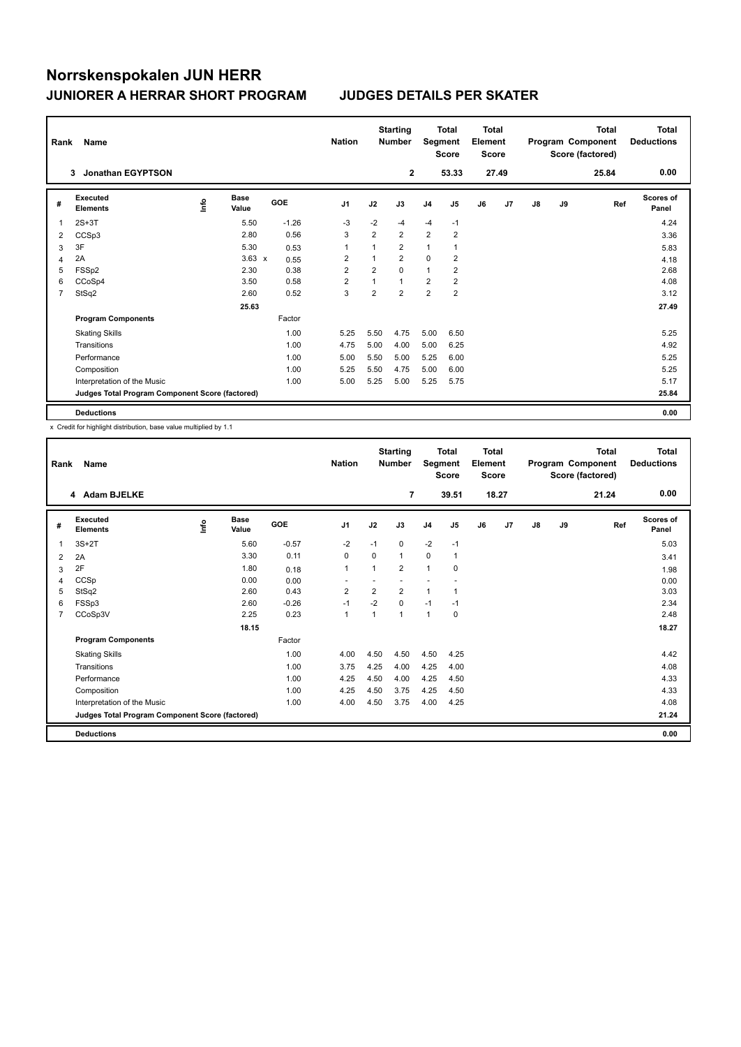| Rank | Name                                            |      |                      |            | <b>Nation</b>           |                | <b>Starting</b><br><b>Number</b> |                | Total<br>Segment<br><b>Score</b> | <b>Total</b><br>Element<br><b>Score</b> |       |               |    | <b>Total</b><br>Program Component<br>Score (factored) | <b>Total</b><br><b>Deductions</b> |
|------|-------------------------------------------------|------|----------------------|------------|-------------------------|----------------|----------------------------------|----------------|----------------------------------|-----------------------------------------|-------|---------------|----|-------------------------------------------------------|-----------------------------------|
|      | <b>Jonathan EGYPTSON</b><br>3                   |      |                      |            |                         |                | 2                                |                | 53.33                            |                                         | 27.49 |               |    | 25.84                                                 | 0.00                              |
| #    | <b>Executed</b><br><b>Elements</b>              | lnfo | <b>Base</b><br>Value | <b>GOE</b> | J <sub>1</sub>          | J2             | J3                               | J <sub>4</sub> | J5                               | J6                                      | J7    | $\mathsf{J}8$ | J9 | Ref                                                   | Scores of<br>Panel                |
| 1    | $2S+3T$                                         |      | 5.50                 | $-1.26$    | $-3$                    | $-2$           | $-4$                             | $-4$           | $-1$                             |                                         |       |               |    |                                                       | 4.24                              |
| 2    | CCSp3                                           |      | 2.80                 | 0.56       | 3                       | $\overline{2}$ | $\overline{2}$                   | $\overline{2}$ | $\overline{2}$                   |                                         |       |               |    |                                                       | 3.36                              |
| 3    | 3F                                              |      | 5.30                 | 0.53       | 1                       |                | 2                                | 1              |                                  |                                         |       |               |    |                                                       | 5.83                              |
| 4    | 2A                                              |      | $3.63 \times$        | 0.55       | $\overline{\mathbf{c}}$ | 1              | $\overline{2}$                   | 0              | $\overline{2}$                   |                                         |       |               |    |                                                       | 4.18                              |
| 5    | FSSp2                                           |      | 2.30                 | 0.38       | $\overline{2}$          | $\overline{2}$ | $\Omega$                         | $\mathbf{1}$   | $\overline{2}$                   |                                         |       |               |    |                                                       | 2.68                              |
| 6    | CCoSp4                                          |      | 3.50                 | 0.58       | $\overline{2}$          | 1              | $\mathbf{1}$                     | $\overline{2}$ | $\overline{2}$                   |                                         |       |               |    |                                                       | 4.08                              |
| 7    | StSq2                                           |      | 2.60                 | 0.52       | 3                       | $\overline{2}$ | $\overline{2}$                   | $\overline{2}$ | $\overline{\mathbf{c}}$          |                                         |       |               |    |                                                       | 3.12                              |
|      |                                                 |      | 25.63                |            |                         |                |                                  |                |                                  |                                         |       |               |    |                                                       | 27.49                             |
|      | <b>Program Components</b>                       |      |                      | Factor     |                         |                |                                  |                |                                  |                                         |       |               |    |                                                       |                                   |
|      | <b>Skating Skills</b>                           |      |                      | 1.00       | 5.25                    | 5.50           | 4.75                             | 5.00           | 6.50                             |                                         |       |               |    |                                                       | 5.25                              |
|      | Transitions                                     |      |                      | 1.00       | 4.75                    | 5.00           | 4.00                             | 5.00           | 6.25                             |                                         |       |               |    |                                                       | 4.92                              |
|      | Performance                                     |      |                      | 1.00       | 5.00                    | 5.50           | 5.00                             | 5.25           | 6.00                             |                                         |       |               |    |                                                       | 5.25                              |
|      | Composition                                     |      |                      | 1.00       | 5.25                    | 5.50           | 4.75                             | 5.00           | 6.00                             |                                         |       |               |    |                                                       | 5.25                              |
|      | Interpretation of the Music                     |      |                      | 1.00       | 5.00                    | 5.25           | 5.00                             | 5.25           | 5.75                             |                                         |       |               |    |                                                       | 5.17                              |
|      | Judges Total Program Component Score (factored) |      |                      |            |                         |                |                                  |                |                                  |                                         |       |               |    |                                                       | 25.84                             |
|      | <b>Deductions</b>                               |      |                      |            |                         |                |                                  |                |                                  |                                         |       |               |    |                                                       | 0.00                              |

x Credit for highlight distribution, base value multiplied by 1.1

| Rank           | Name                                            |      |               |            | <b>Nation</b>  |                | <b>Starting</b><br><b>Number</b> | Segment        | <b>Total</b><br><b>Score</b> | Total<br>Element<br><b>Score</b> |       |               |    | <b>Total</b><br>Program Component<br>Score (factored) | <b>Total</b><br><b>Deductions</b> |
|----------------|-------------------------------------------------|------|---------------|------------|----------------|----------------|----------------------------------|----------------|------------------------------|----------------------------------|-------|---------------|----|-------------------------------------------------------|-----------------------------------|
|                | 4 Adam BJELKE                                   |      |               |            |                |                | $\overline{7}$                   |                | 39.51                        |                                  | 18.27 |               |    | 21.24                                                 | 0.00                              |
| #              | Executed<br><b>Elements</b>                     | lnfo | Base<br>Value | <b>GOE</b> | J <sub>1</sub> | J2             | J3                               | J <sub>4</sub> | J <sub>5</sub>               | J6                               | J7    | $\mathsf{J}8$ | J9 | Ref                                                   | Scores of<br>Panel                |
| 1              | $3S+2T$                                         |      | 5.60          | $-0.57$    | $-2$           | $-1$           | 0                                | $-2$           | $-1$                         |                                  |       |               |    |                                                       | 5.03                              |
| 2              | 2A                                              |      | 3.30          | 0.11       | 0              | $\Omega$       | 1                                | $\mathbf 0$    | $\mathbf{1}$                 |                                  |       |               |    |                                                       | 3.41                              |
| 3              | 2F                                              |      | 1.80          | 0.18       | 1              | 1              | 2                                | 1              | 0                            |                                  |       |               |    |                                                       | 1.98                              |
| 4              | CCSp                                            |      | 0.00          | 0.00       |                |                |                                  |                |                              |                                  |       |               |    |                                                       | 0.00                              |
| 5              | StSq2                                           |      | 2.60          | 0.43       | $\overline{2}$ | $\overline{2}$ | $\overline{2}$                   | $\mathbf{1}$   | 1                            |                                  |       |               |    |                                                       | 3.03                              |
| 6              | FSSp3                                           |      | 2.60          | $-0.26$    | $-1$           | $-2$           | $\Omega$                         | $-1$           | $-1$                         |                                  |       |               |    |                                                       | 2.34                              |
| $\overline{7}$ | CCoSp3V                                         |      | 2.25          | 0.23       | $\mathbf{1}$   | -1             | 1                                | $\mathbf{1}$   | 0                            |                                  |       |               |    |                                                       | 2.48                              |
|                |                                                 |      | 18.15         |            |                |                |                                  |                |                              |                                  |       |               |    |                                                       | 18.27                             |
|                | <b>Program Components</b>                       |      |               | Factor     |                |                |                                  |                |                              |                                  |       |               |    |                                                       |                                   |
|                | <b>Skating Skills</b>                           |      |               | 1.00       | 4.00           | 4.50           | 4.50                             | 4.50           | 4.25                         |                                  |       |               |    |                                                       | 4.42                              |
|                | Transitions                                     |      |               | 1.00       | 3.75           | 4.25           | 4.00                             | 4.25           | 4.00                         |                                  |       |               |    |                                                       | 4.08                              |
|                | Performance                                     |      |               | 1.00       | 4.25           | 4.50           | 4.00                             | 4.25           | 4.50                         |                                  |       |               |    |                                                       | 4.33                              |
|                | Composition                                     |      |               | 1.00       | 4.25           | 4.50           | 3.75                             | 4.25           | 4.50                         |                                  |       |               |    |                                                       | 4.33                              |
|                | Interpretation of the Music                     |      |               | 1.00       | 4.00           | 4.50           | 3.75                             | 4.00           | 4.25                         |                                  |       |               |    |                                                       | 4.08                              |
|                | Judges Total Program Component Score (factored) |      |               |            |                |                |                                  |                |                              |                                  |       |               |    |                                                       | 21.24                             |
|                | <b>Deductions</b>                               |      |               |            |                |                |                                  |                |                              |                                  |       |               |    |                                                       | 0.00                              |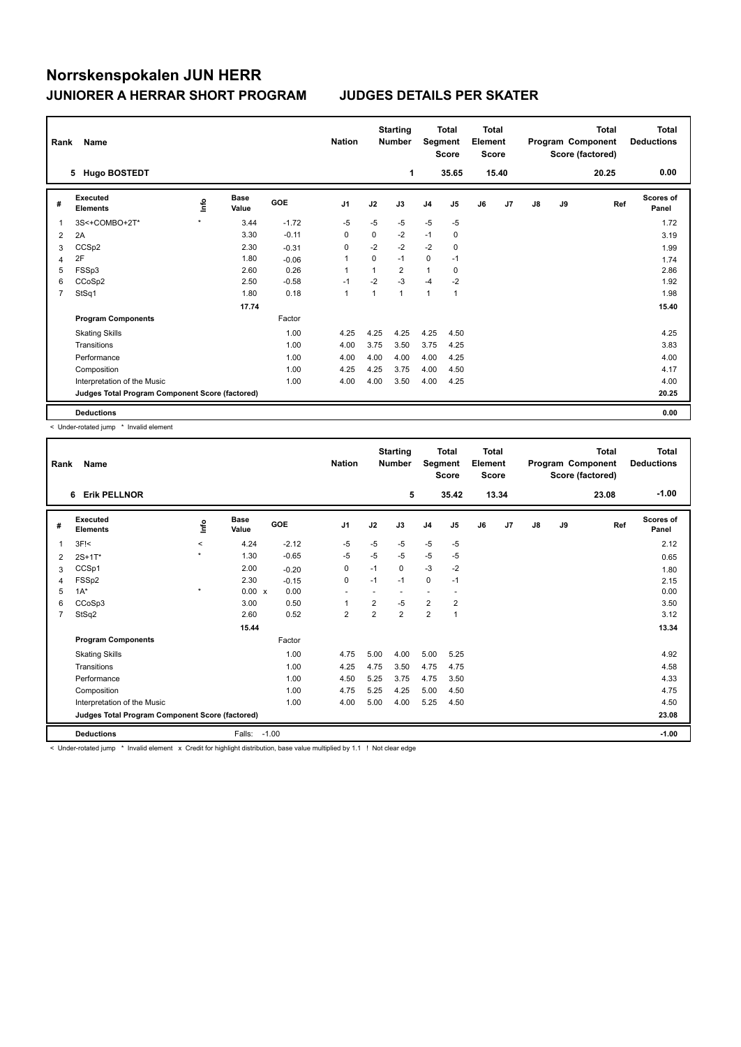| Rank | Name                                            |         |                      |            | <b>Nation</b>  |              | <b>Starting</b><br><b>Number</b> | Segment        | Total<br><b>Score</b> | <b>Total</b><br>Element<br><b>Score</b> |       |               |    | <b>Total</b><br>Program Component<br>Score (factored) | <b>Total</b><br><b>Deductions</b> |
|------|-------------------------------------------------|---------|----------------------|------------|----------------|--------------|----------------------------------|----------------|-----------------------|-----------------------------------------|-------|---------------|----|-------------------------------------------------------|-----------------------------------|
|      | <b>Hugo BOSTEDT</b><br>5.                       |         |                      |            |                |              | 1                                |                | 35.65                 |                                         | 15.40 |               |    | 20.25                                                 | 0.00                              |
| #    | <b>Executed</b><br><b>Elements</b>              | lnfo    | <b>Base</b><br>Value | <b>GOE</b> | J <sub>1</sub> | J2           | J3                               | J <sub>4</sub> | J5                    | J6                                      | J7    | $\mathsf{J}8$ | J9 | Ref                                                   | Scores of<br>Panel                |
| 1    | 3S<+COMBO+2T*                                   | $\star$ | 3.44                 | $-1.72$    | $-5$           | $-5$         | $-5$                             | $-5$           | $-5$                  |                                         |       |               |    |                                                       | 1.72                              |
| 2    | 2A                                              |         | 3.30                 | $-0.11$    | $\Omega$       | $\Omega$     | $-2$                             | $-1$           | 0                     |                                         |       |               |    |                                                       | 3.19                              |
| 3    | CCSp2                                           |         | 2.30                 | $-0.31$    | 0              | $-2$         | $-2$                             | $-2$           | 0                     |                                         |       |               |    |                                                       | 1.99                              |
| 4    | 2F                                              |         | 1.80                 | $-0.06$    | 1              | 0            | $-1$                             | $\mathbf 0$    | $-1$                  |                                         |       |               |    |                                                       | 1.74                              |
| 5    | FSSp3                                           |         | 2.60                 | 0.26       | $\overline{1}$ | 1            | $\overline{2}$                   | $\mathbf{1}$   | 0                     |                                         |       |               |    |                                                       | 2.86                              |
| 6    | CCoSp2                                          |         | 2.50                 | $-0.58$    | $-1$           | $-2$         | $-3$                             | $-4$           | $-2$                  |                                         |       |               |    |                                                       | 1.92                              |
| 7    | StSq1                                           |         | 1.80                 | 0.18       | $\mathbf{1}$   | $\mathbf{1}$ | 1                                | 1              | $\mathbf{1}$          |                                         |       |               |    |                                                       | 1.98                              |
|      |                                                 |         | 17.74                |            |                |              |                                  |                |                       |                                         |       |               |    |                                                       | 15.40                             |
|      | <b>Program Components</b>                       |         |                      | Factor     |                |              |                                  |                |                       |                                         |       |               |    |                                                       |                                   |
|      | <b>Skating Skills</b>                           |         |                      | 1.00       | 4.25           | 4.25         | 4.25                             | 4.25           | 4.50                  |                                         |       |               |    |                                                       | 4.25                              |
|      | Transitions                                     |         |                      | 1.00       | 4.00           | 3.75         | 3.50                             | 3.75           | 4.25                  |                                         |       |               |    |                                                       | 3.83                              |
|      | Performance                                     |         |                      | 1.00       | 4.00           | 4.00         | 4.00                             | 4.00           | 4.25                  |                                         |       |               |    |                                                       | 4.00                              |
|      | Composition                                     |         |                      | 1.00       | 4.25           | 4.25         | 3.75                             | 4.00           | 4.50                  |                                         |       |               |    |                                                       | 4.17                              |
|      | Interpretation of the Music                     |         |                      | 1.00       | 4.00           | 4.00         | 3.50                             | 4.00           | 4.25                  |                                         |       |               |    |                                                       | 4.00                              |
|      | Judges Total Program Component Score (factored) |         |                      |            |                |              |                                  |                |                       |                                         |       |               |    |                                                       | 20.25                             |
|      | <b>Deductions</b>                               |         |                      |            |                |              |                                  |                |                       |                                         |       |               |    |                                                       | 0.00                              |

< Under-rotated jump \* Invalid element

| Rank           | Name                                            |         |                      |            | <b>Nation</b>            |                | <b>Starting</b><br><b>Number</b> | Segment        | <b>Total</b><br><b>Score</b> | Total<br>Element<br><b>Score</b> |       |               |    | <b>Total</b><br>Program Component<br>Score (factored) | <b>Total</b><br><b>Deductions</b> |
|----------------|-------------------------------------------------|---------|----------------------|------------|--------------------------|----------------|----------------------------------|----------------|------------------------------|----------------------------------|-------|---------------|----|-------------------------------------------------------|-----------------------------------|
|                | <b>Erik PELLNOR</b><br>6                        |         |                      |            |                          |                | 5                                |                | 35.42                        |                                  | 13.34 |               |    | 23.08                                                 | $-1.00$                           |
| #              | Executed<br><b>Elements</b>                     | lnfo    | <b>Base</b><br>Value | <b>GOE</b> | J1                       | J2             | J3                               | J <sub>4</sub> | J5                           | J6                               | J7    | $\mathsf{J}8$ | J9 | Ref                                                   | <b>Scores of</b><br>Panel         |
| 1              | $3F$ $\leq$                                     | $\prec$ | 4.24                 | $-2.12$    | $-5$                     | $-5$           | $-5$                             | $-5$           | $-5$                         |                                  |       |               |    |                                                       | 2.12                              |
| 2              | $2S+1T*$                                        | $\star$ | 1.30                 | $-0.65$    | $-5$                     | $-5$           | $-5$                             | $-5$           | $-5$                         |                                  |       |               |    |                                                       | 0.65                              |
| 3              | CCSp1                                           |         | 2.00                 | $-0.20$    | 0                        | $-1$           | 0                                | $-3$           | $-2$                         |                                  |       |               |    |                                                       | 1.80                              |
| 4              | FSSp2                                           |         | 2.30                 | $-0.15$    | 0                        | $-1$           | $-1$                             | 0              | $-1$                         |                                  |       |               |    |                                                       | 2.15                              |
| 5              | $1A^*$                                          | $\star$ | $0.00 \times$        | 0.00       | $\overline{\phantom{a}}$ |                | $\overline{\phantom{a}}$         | ٠              |                              |                                  |       |               |    |                                                       | 0.00                              |
| 6              | CCoSp3                                          |         | 3.00                 | 0.50       | 1                        | $\overline{2}$ | $-5$                             | $\overline{2}$ | $\overline{\mathbf{c}}$      |                                  |       |               |    |                                                       | 3.50                              |
| $\overline{7}$ | StSq2                                           |         | 2.60                 | 0.52       | $\overline{2}$           | $\overline{2}$ | $\overline{2}$                   | $\overline{2}$ | 1                            |                                  |       |               |    |                                                       | 3.12                              |
|                |                                                 |         | 15.44                |            |                          |                |                                  |                |                              |                                  |       |               |    |                                                       | 13.34                             |
|                | <b>Program Components</b>                       |         |                      | Factor     |                          |                |                                  |                |                              |                                  |       |               |    |                                                       |                                   |
|                | <b>Skating Skills</b>                           |         |                      | 1.00       | 4.75                     | 5.00           | 4.00                             | 5.00           | 5.25                         |                                  |       |               |    |                                                       | 4.92                              |
|                | Transitions                                     |         |                      | 1.00       | 4.25                     | 4.75           | 3.50                             | 4.75           | 4.75                         |                                  |       |               |    |                                                       | 4.58                              |
|                | Performance                                     |         |                      | 1.00       | 4.50                     | 5.25           | 3.75                             | 4.75           | 3.50                         |                                  |       |               |    |                                                       | 4.33                              |
|                | Composition                                     |         |                      | 1.00       | 4.75                     | 5.25           | 4.25                             | 5.00           | 4.50                         |                                  |       |               |    |                                                       | 4.75                              |
|                | Interpretation of the Music                     |         |                      | 1.00       | 4.00                     | 5.00           | 4.00                             | 5.25           | 4.50                         |                                  |       |               |    |                                                       | 4.50                              |
|                | Judges Total Program Component Score (factored) |         |                      |            |                          |                |                                  |                |                              |                                  |       |               |    |                                                       | 23.08                             |
|                | <b>Deductions</b>                               |         | Falls:               | $-1.00$    |                          |                |                                  |                |                              |                                  |       |               |    |                                                       | $-1.00$                           |

< Under-rotated jump \* Invalid element x Credit for highlight distribution, base value multiplied by 1.1 ! Not clear edge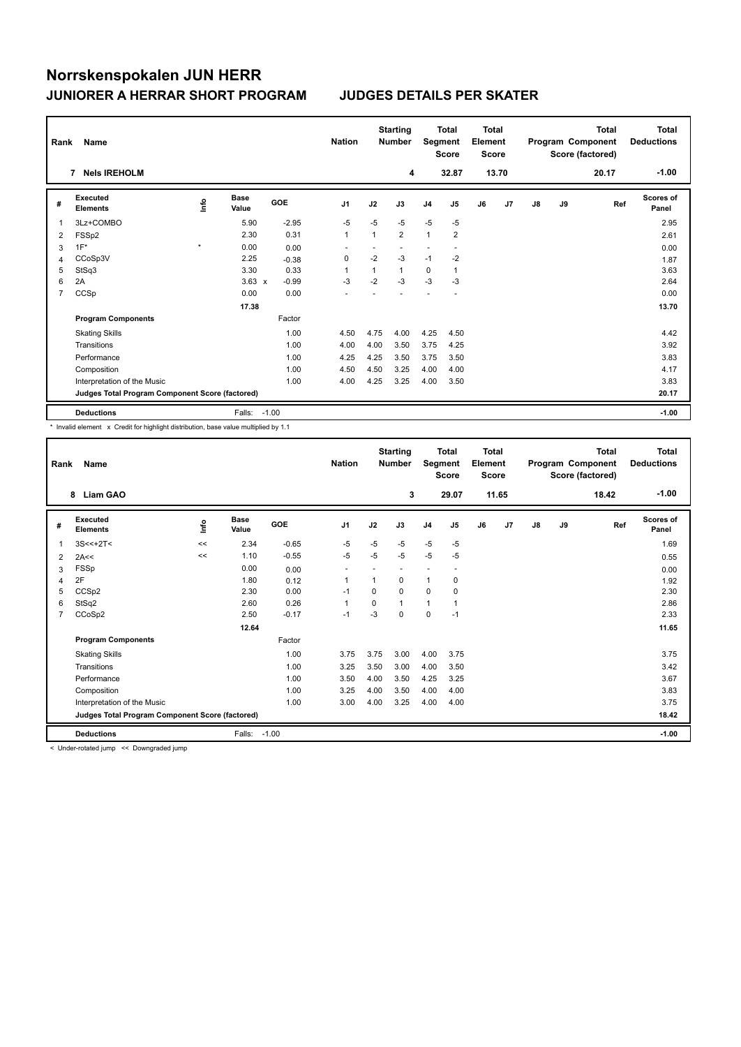| Rank | Name                                            |         |                      |            | <b>Nation</b>  |              | <b>Starting</b><br><b>Number</b> | Segment        | <b>Total</b><br><b>Score</b> | <b>Total</b><br>Element<br><b>Score</b> |       |    |    | Total<br>Program Component<br>Score (factored) | <b>Total</b><br><b>Deductions</b> |
|------|-------------------------------------------------|---------|----------------------|------------|----------------|--------------|----------------------------------|----------------|------------------------------|-----------------------------------------|-------|----|----|------------------------------------------------|-----------------------------------|
|      | <b>Nels IREHOLM</b><br>7                        |         |                      |            |                |              | 4                                |                | 32.87                        |                                         | 13.70 |    |    | 20.17                                          | $-1.00$                           |
| #    | Executed<br><b>Elements</b>                     | ١nfo    | <b>Base</b><br>Value | <b>GOE</b> | J <sub>1</sub> | J2           | J3                               | J <sub>4</sub> | J5                           | J6                                      | J7    | J8 | J9 | Ref                                            | <b>Scores of</b><br>Panel         |
| 1    | 3Lz+COMBO                                       |         | 5.90                 | $-2.95$    | $-5$           | $-5$         | $-5$                             | $-5$           | $-5$                         |                                         |       |    |    |                                                | 2.95                              |
| 2    | FSSp2                                           |         | 2.30                 | 0.31       | $\mathbf{1}$   | $\mathbf{1}$ | 2                                | $\mathbf{1}$   | $\overline{2}$               |                                         |       |    |    |                                                | 2.61                              |
| 3    | $1F^*$                                          | $\star$ | 0.00                 | 0.00       |                |              |                                  |                |                              |                                         |       |    |    |                                                | 0.00                              |
| 4    | CCoSp3V                                         |         | 2.25                 | $-0.38$    | 0              | $-2$         | $-3$                             | $-1$           | $-2$                         |                                         |       |    |    |                                                | 1.87                              |
| 5    | StSq3                                           |         | 3.30                 | 0.33       | -1             | $\mathbf{1}$ | 1                                | 0              | 1                            |                                         |       |    |    |                                                | 3.63                              |
| 6    | 2A                                              |         | $3.63 \times$        | $-0.99$    | $-3$           | $-2$         | $-3$                             | $-3$           | -3                           |                                         |       |    |    |                                                | 2.64                              |
| 7    | CCSp                                            |         | 0.00                 | 0.00       |                |              |                                  |                |                              |                                         |       |    |    |                                                | 0.00                              |
|      |                                                 |         | 17.38                |            |                |              |                                  |                |                              |                                         |       |    |    |                                                | 13.70                             |
|      | <b>Program Components</b>                       |         |                      | Factor     |                |              |                                  |                |                              |                                         |       |    |    |                                                |                                   |
|      | <b>Skating Skills</b>                           |         |                      | 1.00       | 4.50           | 4.75         | 4.00                             | 4.25           | 4.50                         |                                         |       |    |    |                                                | 4.42                              |
|      | Transitions                                     |         |                      | 1.00       | 4.00           | 4.00         | 3.50                             | 3.75           | 4.25                         |                                         |       |    |    |                                                | 3.92                              |
|      | Performance                                     |         |                      | 1.00       | 4.25           | 4.25         | 3.50                             | 3.75           | 3.50                         |                                         |       |    |    |                                                | 3.83                              |
|      | Composition                                     |         |                      | 1.00       | 4.50           | 4.50         | 3.25                             | 4.00           | 4.00                         |                                         |       |    |    |                                                | 4.17                              |
|      | Interpretation of the Music                     |         |                      | 1.00       | 4.00           | 4.25         | 3.25                             | 4.00           | 3.50                         |                                         |       |    |    |                                                | 3.83                              |
|      | Judges Total Program Component Score (factored) |         |                      |            |                |              |                                  |                |                              |                                         |       |    |    |                                                | 20.17                             |
|      | <b>Deductions</b>                               |         | Falls:               | $-1.00$    |                |              |                                  |                |                              |                                         |       |    |    |                                                | $-1.00$                           |

\* Invalid element x Credit for highlight distribution, base value multiplied by 1.1

| Rank           | Name                                            |      |                      |         | <b>Nation</b>            |          | <b>Starting</b><br><b>Number</b> | Segment        | <b>Total</b><br><b>Score</b> | Total<br>Element<br><b>Score</b> |       |    |    | <b>Total</b><br>Program Component<br>Score (factored) | <b>Total</b><br><b>Deductions</b> |
|----------------|-------------------------------------------------|------|----------------------|---------|--------------------------|----------|----------------------------------|----------------|------------------------------|----------------------------------|-------|----|----|-------------------------------------------------------|-----------------------------------|
|                | <b>Liam GAO</b><br>8                            |      |                      |         |                          |          | 3                                |                | 29.07                        |                                  | 11.65 |    |    | 18.42                                                 | $-1.00$                           |
| #              | <b>Executed</b><br><b>Elements</b>              | lnfo | <b>Base</b><br>Value | GOE     | J <sub>1</sub>           | J2       | J3                               | J <sub>4</sub> | J5                           | J6                               | J7    | J8 | J9 | Ref                                                   | <b>Scores of</b><br>Panel         |
| -1             | $3S < +2T$                                      | <<   | 2.34                 | $-0.65$ | -5                       | $-5$     | $-5$                             | $-5$           | $-5$                         |                                  |       |    |    |                                                       | 1.69                              |
| 2              | 2A<<                                            | <<   | 1.10                 | $-0.55$ | $-5$                     | $-5$     | $-5$                             | $-5$           | $-5$                         |                                  |       |    |    |                                                       | 0.55                              |
| 3              | FSSp                                            |      | 0.00                 | 0.00    | $\overline{\phantom{a}}$ |          |                                  |                |                              |                                  |       |    |    |                                                       | 0.00                              |
| 4              | 2F                                              |      | 1.80                 | 0.12    | 1                        | 1        | 0                                | $\mathbf{1}$   | 0                            |                                  |       |    |    |                                                       | 1.92                              |
| 5              | CCSp2                                           |      | 2.30                 | 0.00    | $-1$                     | $\Omega$ | 0                                | $\Omega$       | $\Omega$                     |                                  |       |    |    |                                                       | 2.30                              |
| 6              | StSq2                                           |      | 2.60                 | 0.26    | $\mathbf{1}$             | $\Omega$ | 1                                | $\mathbf{1}$   | 1                            |                                  |       |    |    |                                                       | 2.86                              |
| $\overline{7}$ | CCoSp2                                          |      | 2.50                 | $-0.17$ | $-1$                     | $-3$     | 0                                | 0              | $-1$                         |                                  |       |    |    |                                                       | 2.33                              |
|                |                                                 |      | 12.64                |         |                          |          |                                  |                |                              |                                  |       |    |    |                                                       | 11.65                             |
|                | <b>Program Components</b>                       |      |                      | Factor  |                          |          |                                  |                |                              |                                  |       |    |    |                                                       |                                   |
|                | <b>Skating Skills</b>                           |      |                      | 1.00    | 3.75                     | 3.75     | 3.00                             | 4.00           | 3.75                         |                                  |       |    |    |                                                       | 3.75                              |
|                | Transitions                                     |      |                      | 1.00    | 3.25                     | 3.50     | 3.00                             | 4.00           | 3.50                         |                                  |       |    |    |                                                       | 3.42                              |
|                | Performance                                     |      |                      | 1.00    | 3.50                     | 4.00     | 3.50                             | 4.25           | 3.25                         |                                  |       |    |    |                                                       | 3.67                              |
|                | Composition                                     |      |                      | 1.00    | 3.25                     | 4.00     | 3.50                             | 4.00           | 4.00                         |                                  |       |    |    |                                                       | 3.83                              |
|                | Interpretation of the Music                     |      |                      | 1.00    | 3.00                     | 4.00     | 3.25                             | 4.00           | 4.00                         |                                  |       |    |    |                                                       | 3.75                              |
|                | Judges Total Program Component Score (factored) |      |                      |         |                          |          |                                  |                |                              |                                  |       |    |    |                                                       | 18.42                             |
|                | <b>Deductions</b>                               |      | Falls:               | $-1.00$ |                          |          |                                  |                |                              |                                  |       |    |    |                                                       | $-1.00$                           |

< Under-rotated jump << Downgraded jump